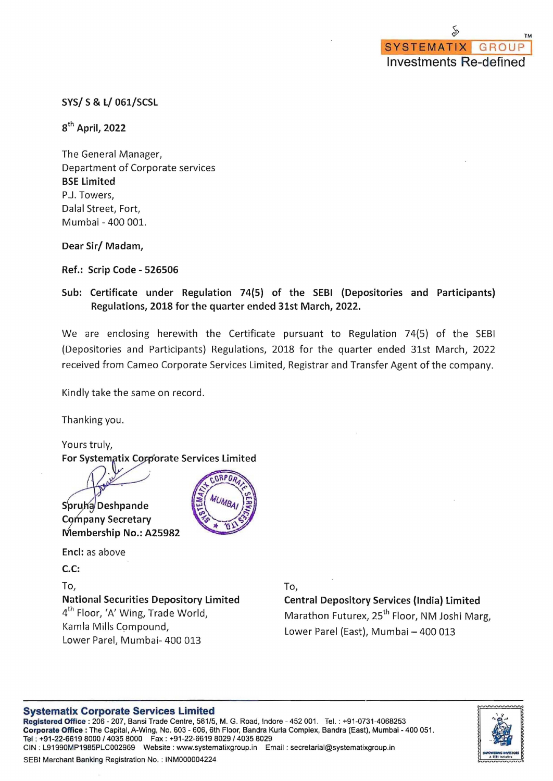SYS/ S& L/ 061/SCSL

 $8<sup>th</sup>$  April, 2022

The General Manager, Department of Corporate services BSE Limited P.J. Towers, Dalal Street, Fort, Mumbai - 400 001.

Dear Sir/ Madam,

Ref.: Scrip Code - 526506

Sub: Certificate under Regulation 74(5) of the SEBI (Depositories and Participants) Regulations, 2018 for the quarter ended 31st March, 2022.

We are enclosing herewith the Certificate pursuant to Regulation 74(5) of the SEBI (Depositories and Participants) Regulations, 2018 for the quarter ended 31st March, 2022 received from Cameo Corporate Services Limited, Registrar and Transfer Agent of the company.

Kindly take the same on record.

Thanking you.

Yours truly, For Systematix Corporate Services Limited

Spruha Deshpande

Company Secretary Membership No.: A25982

End: as above

C.C:

To,

National Securities Depository Limited 4<sup>th</sup> Floor, 'A' Wing, Trade World, Kamla Mills Compound, Lower Parel, Mumbai- 400 013

To,

## Central Depository Services (India) Limited Marathon Futurex, 25<sup>th</sup> Floor, NM Joshi Marg,

Lower Parel (East), Mumbai - 400 013

## Systematix Corporate Services Limited

Registered Office: 206 - 207, Bansi Trade Centre, 581/5, M. G. Road, Indore - 452 001. Tel. : +91-0731-4068253 Corporate Office: The Capital, A-Wing, No. 603 - 606, 6th Floor, Sandra Kurla Complex, Sandra (East), Mumbai - 400 051. Tel : *+91-22-66198000/40358000* Fax: *+91-22-66198029/40358029* CIN : L91990MP1985PLC002969 Website : www.systematixgroup .in Email : secretarial@systematixgroup.in